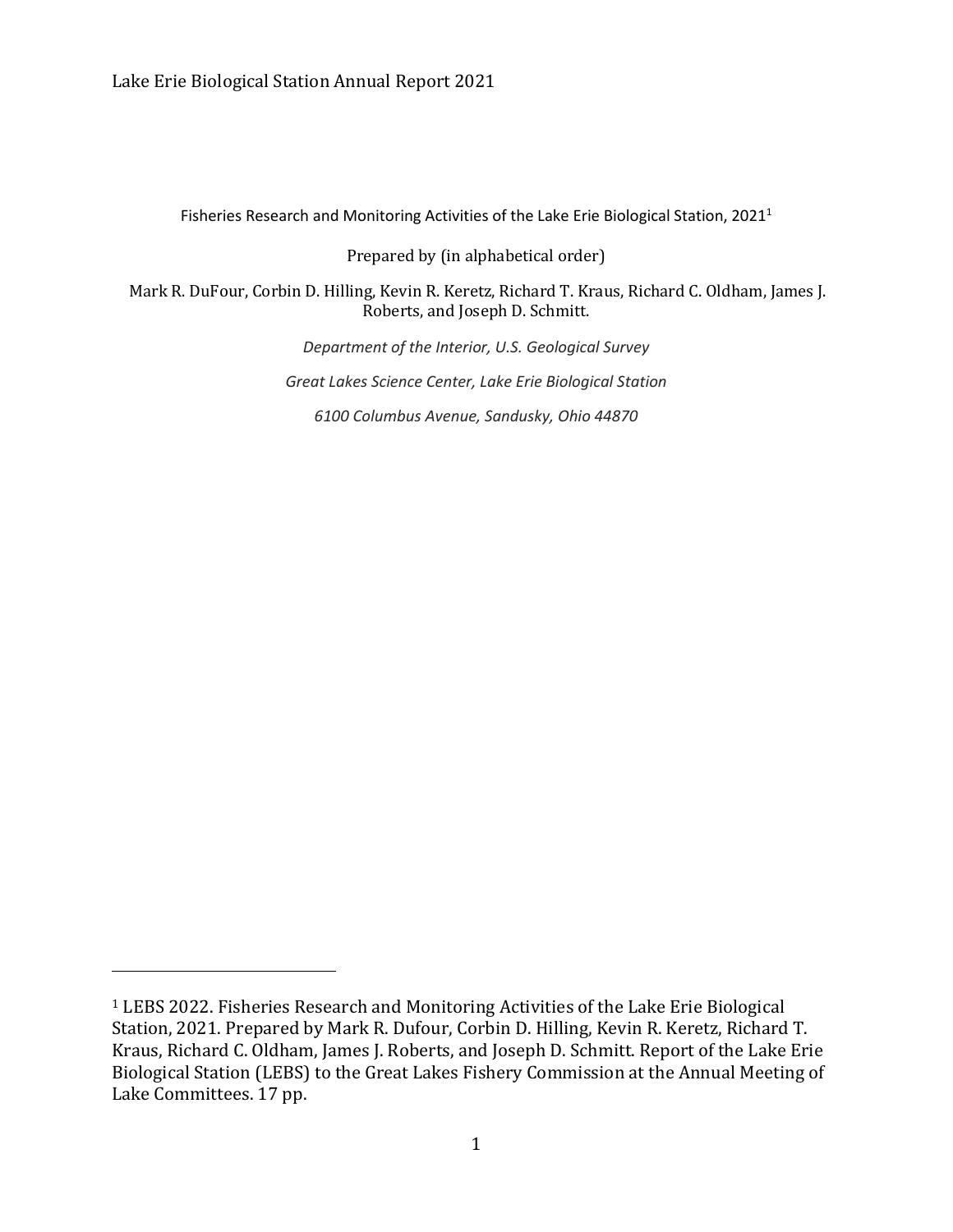Fisheries Research and Monitoring Activities of the Lake Erie Biological Station, 2021<sup>1</sup>

Prepared by (in alphabetical order)

Mark R. DuFour, Corbin D. Hilling, Kevin R. Keretz, Richard T. Kraus, Richard C. Oldham, James J. Roberts, and Joseph D. Schmitt.

*Department of the Interior, U.S. Geological Survey*

*Great Lakes Science Center, Lake Erie Biological Station*

*6100 Columbus Avenue, Sandusky, Ohio 44870*

<sup>1</sup> LEBS 2022. Fisheries Research and Monitoring Activities of the Lake Erie Biological Station, 2021. Prepared by Mark R. Dufour, Corbin D. Hilling, Kevin R. Keretz, Richard T. Kraus, Richard C. Oldham, James J. Roberts, and Joseph D. Schmitt. Report of the Lake Erie Biological Station (LEBS) to the Great Lakes Fishery Commission at the Annual Meeting of Lake Committees. 17 pp.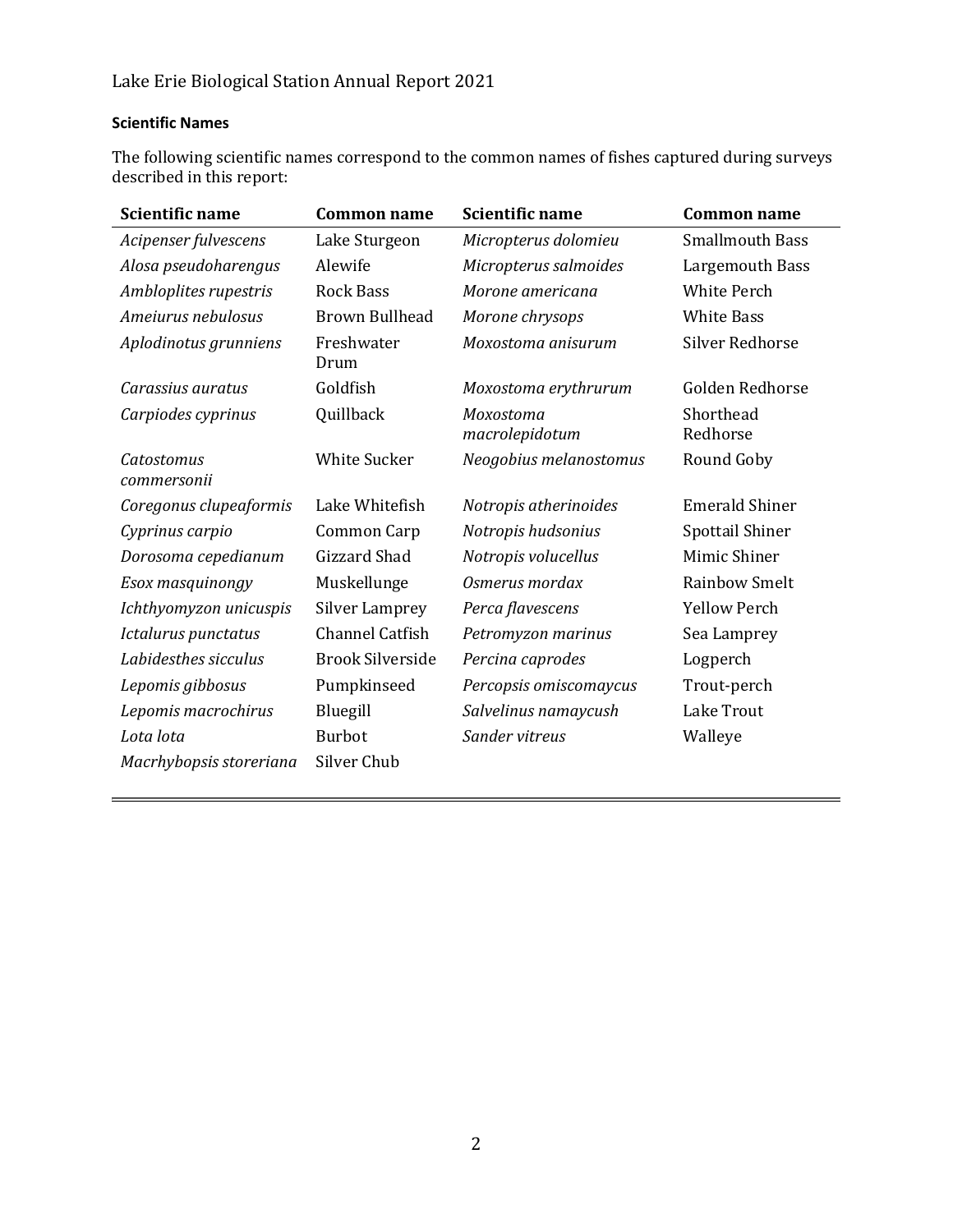## **Scientific Names**

The following scientific names correspond to the common names of fishes captured during surveys described in this report:

| <b>Scientific name</b>    | <b>Common name</b>      | <b>Scientific name</b>      | <b>Common name</b>     |  |
|---------------------------|-------------------------|-----------------------------|------------------------|--|
| Acipenser fulvescens      | Lake Sturgeon           | Micropterus dolomieu        | <b>Smallmouth Bass</b> |  |
| Alosa pseudoharengus      | Alewife                 | Micropterus salmoides       | Largemouth Bass        |  |
| Ambloplites rupestris     | <b>Rock Bass</b>        | Morone americana            | <b>White Perch</b>     |  |
| Ameiurus nebulosus        | <b>Brown Bullhead</b>   | Morone chrysops             | <b>White Bass</b>      |  |
| Aplodinotus grunniens     | Freshwater<br>Drum      | Moxostoma anisurum          | <b>Silver Redhorse</b> |  |
| Carassius auratus         | Goldfish                | Moxostoma erythrurum        | Golden Redhorse        |  |
| Carpiodes cyprinus        | Quillback               | Moxostoma<br>macrolepidotum | Shorthead<br>Redhorse  |  |
| Catostomus<br>commersonii | <b>White Sucker</b>     | Neogobius melanostomus      | Round Goby             |  |
| Coregonus clupeaformis    | Lake Whitefish          | Notropis atherinoides       | <b>Emerald Shiner</b>  |  |
| Cyprinus carpio           | Common Carp             | Notropis hudsonius          | Spottail Shiner        |  |
| Dorosoma cepedianum       | Gizzard Shad            | Notropis volucellus         | Mimic Shiner           |  |
| Esox masquinongy          | Muskellunge             | Osmerus mordax              | <b>Rainbow Smelt</b>   |  |
| Ichthyomyzon unicuspis    | <b>Silver Lamprey</b>   | Perca flavescens            | <b>Yellow Perch</b>    |  |
| Ictalurus punctatus       | <b>Channel Catfish</b>  | Petromyzon marinus          | Sea Lamprey            |  |
| Labidesthes sicculus      | <b>Brook Silverside</b> | Percina caprodes            | Logperch               |  |
| Lepomis gibbosus          | Pumpkinseed             | Percopsis omiscomaycus      | Trout-perch            |  |
| Lepomis macrochirus       | Bluegill                | Salvelinus namaycush        | Lake Trout             |  |
| Lota lota                 | <b>Burbot</b>           | Sander vitreus              | Walleye                |  |
| Macrhybopsis storeriana   | Silver Chub             |                             |                        |  |
|                           |                         |                             |                        |  |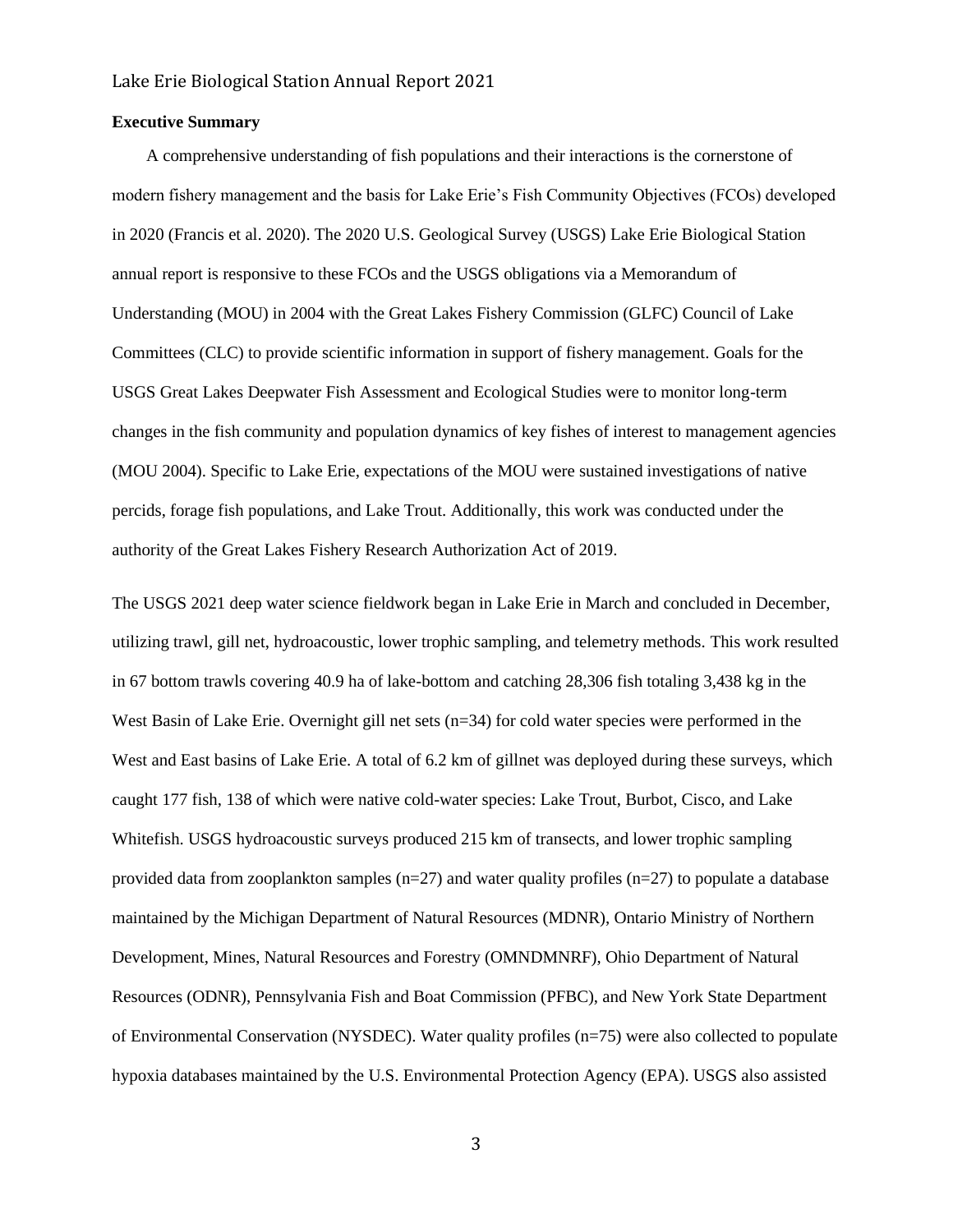#### **Executive Summary**

 A comprehensive understanding of fish populations and their interactions is the cornerstone of modern fishery management and the basis for Lake Erie's Fish Community Objectives (FCOs) developed in 2020 (Francis et al. 2020). The 2020 U.S. Geological Survey (USGS) Lake Erie Biological Station annual report is responsive to these FCOs and the USGS obligations via a Memorandum of Understanding (MOU) in 2004 with the Great Lakes Fishery Commission (GLFC) Council of Lake Committees (CLC) to provide scientific information in support of fishery management. Goals for the USGS Great Lakes Deepwater Fish Assessment and Ecological Studies were to monitor long-term changes in the fish community and population dynamics of key fishes of interest to management agencies (MOU 2004). Specific to Lake Erie, expectations of the MOU were sustained investigations of native percids, forage fish populations, and Lake Trout. Additionally, this work was conducted under the authority of the Great Lakes Fishery Research Authorization Act of 2019.

The USGS 2021 deep water science fieldwork began in Lake Erie in March and concluded in December, utilizing trawl, gill net, hydroacoustic, lower trophic sampling, and telemetry methods. This work resulted in 67 bottom trawls covering 40.9 ha of lake-bottom and catching 28,306 fish totaling 3,438 kg in the West Basin of Lake Erie. Overnight gill net sets (n=34) for cold water species were performed in the West and East basins of Lake Erie. A total of 6.2 km of gillnet was deployed during these surveys, which caught 177 fish, 138 of which were native cold-water species: Lake Trout, Burbot, Cisco, and Lake Whitefish. USGS hydroacoustic surveys produced 215 km of transects, and lower trophic sampling provided data from zooplankton samples ( $n=27$ ) and water quality profiles ( $n=27$ ) to populate a database maintained by the Michigan Department of Natural Resources (MDNR), Ontario Ministry of Northern Development, Mines, Natural Resources and Forestry (OMNDMNRF), Ohio Department of Natural Resources (ODNR), Pennsylvania Fish and Boat Commission (PFBC), and New York State Department of Environmental Conservation (NYSDEC). Water quality profiles (n=75) were also collected to populate hypoxia databases maintained by the U.S. Environmental Protection Agency (EPA). USGS also assisted

3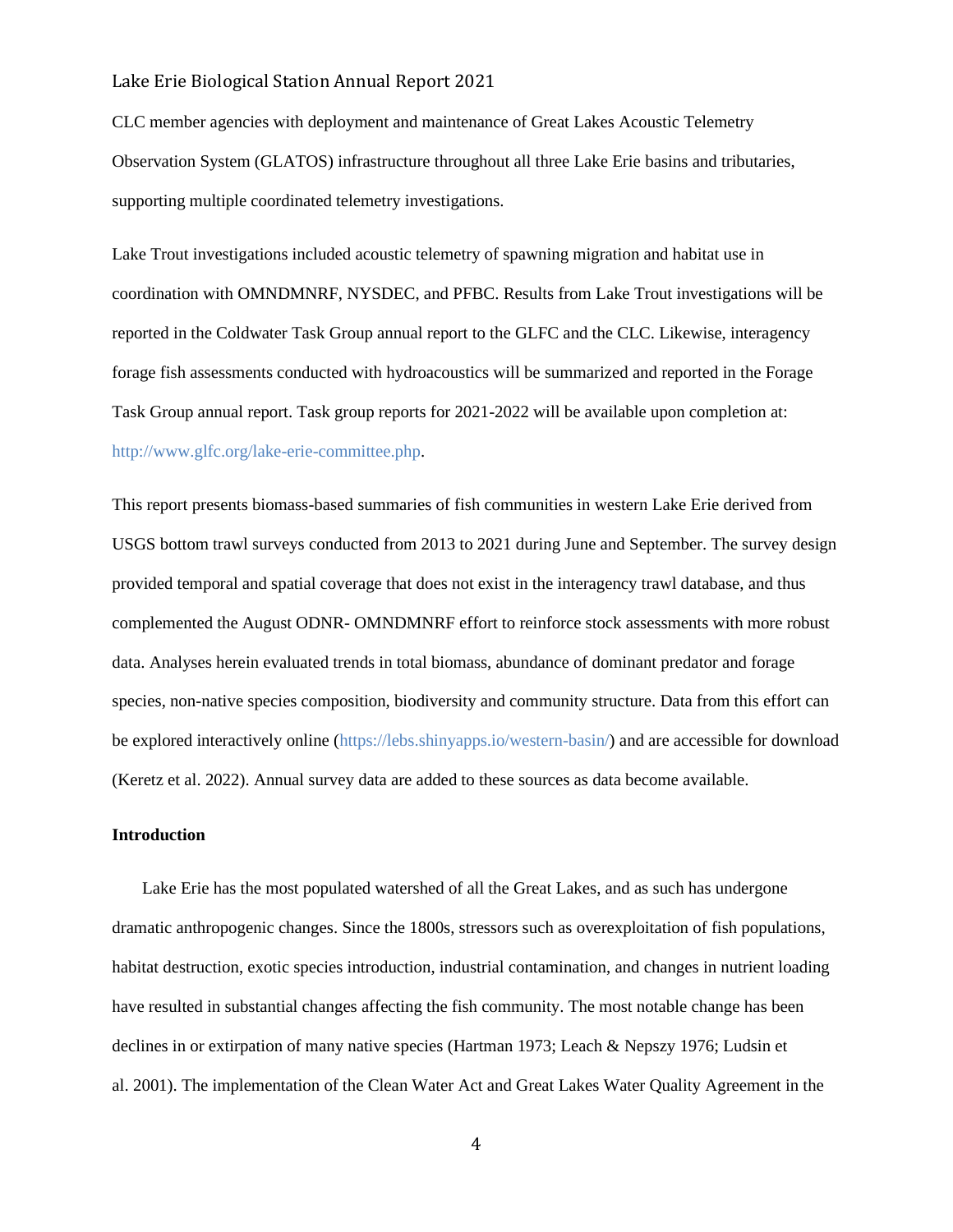CLC member agencies with deployment and maintenance of Great Lakes Acoustic Telemetry Observation System (GLATOS) infrastructure throughout all three Lake Erie basins and tributaries, supporting multiple coordinated telemetry investigations.

Lake Trout investigations included acoustic telemetry of spawning migration and habitat use in coordination with OMNDMNRF, NYSDEC, and PFBC. Results from Lake Trout investigations will be reported in the Coldwater Task Group annual report to the GLFC and the CLC. Likewise, interagency forage fish assessments conducted with hydroacoustics will be summarized and reported in the Forage Task Group annual report. Task group reports for 2021-2022 will be available upon completion at: [http://www.glfc.org/lake-erie-committee.php.](http://www.glfc.org/lake-erie-committee.php)

This report presents biomass-based summaries of fish communities in western Lake Erie derived from USGS bottom trawl surveys conducted from 2013 to 2021 during June and September. The survey design provided temporal and spatial coverage that does not exist in the interagency trawl database, and thus complemented the August ODNR- OMNDMNRF effort to reinforce stock assessments with more robust data. Analyses herein evaluated trends in total biomass, abundance of dominant predator and forage species, non-native species composition, biodiversity and community structure. Data from this effort can be explored interactively online [\(https://lebs.shinyapps.io/western-basin/\)](https://lebs.shinyapps.io/western-basin/) and are accessible for download (Keretz et al. 2022). Annual survey data are added to these sources as data become available.

#### **Introduction**

 Lake Erie has the most populated watershed of all the Great Lakes, and as such has undergone dramatic anthropogenic changes. Since the 1800s, stressors such as overexploitation of fish populations, habitat destruction, exotic species introduction, industrial contamination, and changes in nutrient loading have resulted in substantial changes affecting the fish community. The most notable change has been declines in or extirpation of many native species (Hartman 1973; Leach & Nepszy 1976; Ludsin et al. 2001). The implementation of the Clean Water Act and Great Lakes Water Quality Agreement in the

4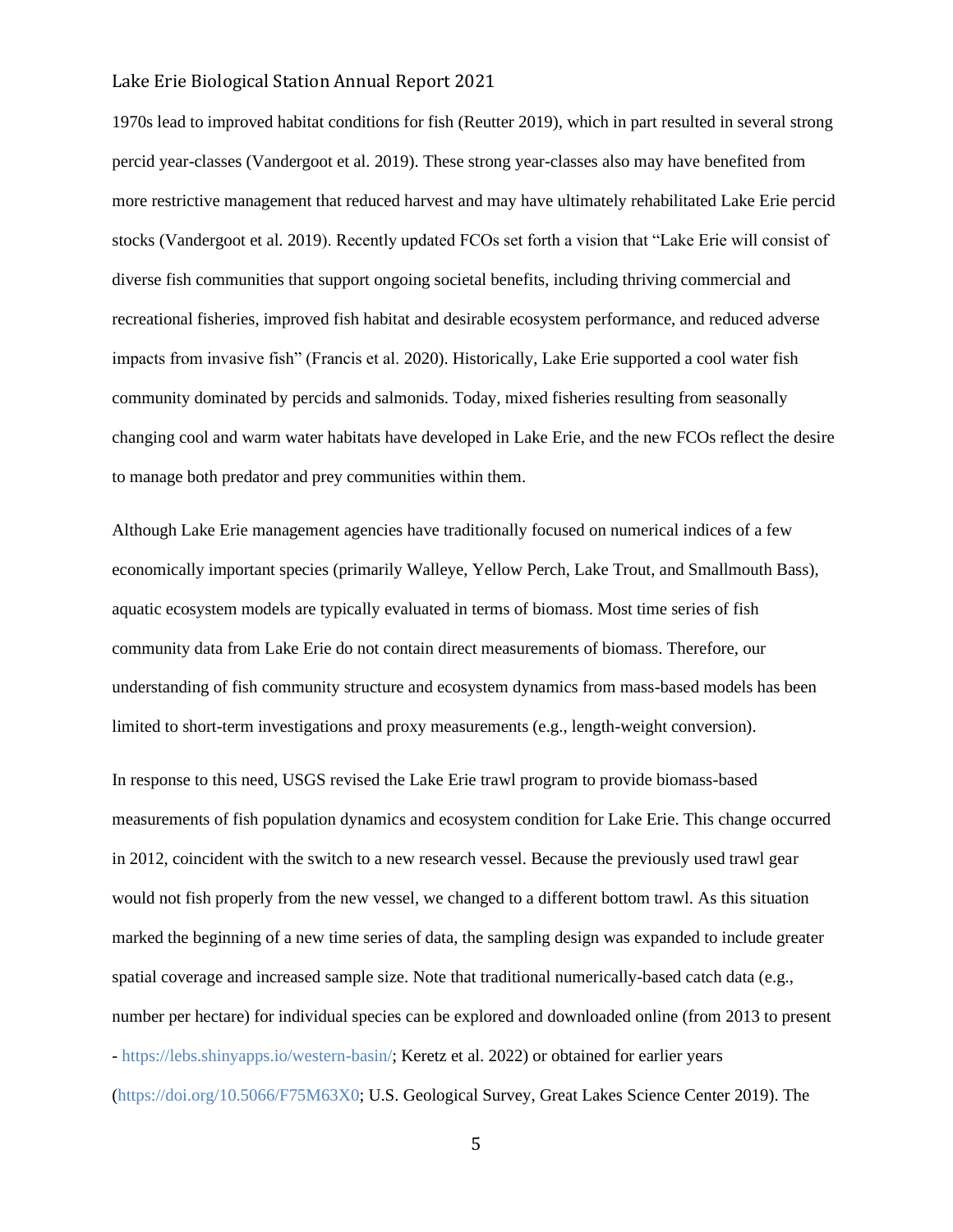1970s lead to improved habitat conditions for fish (Reutter 2019), which in part resulted in several strong percid year-classes (Vandergoot et al. 2019). These strong year-classes also may have benefited from more restrictive management that reduced harvest and may have ultimately rehabilitated Lake Erie percid stocks (Vandergoot et al. 2019). Recently updated FCOs set forth a vision that "Lake Erie will consist of diverse fish communities that support ongoing societal benefits, including thriving commercial and recreational fisheries, improved fish habitat and desirable ecosystem performance, and reduced adverse impacts from invasive fish" (Francis et al. 2020). Historically, Lake Erie supported a cool water fish community dominated by percids and salmonids. Today, mixed fisheries resulting from seasonally changing cool and warm water habitats have developed in Lake Erie, and the new FCOs reflect the desire to manage both predator and prey communities within them.

Although Lake Erie management agencies have traditionally focused on numerical indices of a few economically important species (primarily Walleye, Yellow Perch, Lake Trout, and Smallmouth Bass), aquatic ecosystem models are typically evaluated in terms of biomass. Most time series of fish community data from Lake Erie do not contain direct measurements of biomass. Therefore, our understanding of fish community structure and ecosystem dynamics from mass-based models has been limited to short-term investigations and proxy measurements (e.g., length-weight conversion).

In response to this need, USGS revised the Lake Erie trawl program to provide biomass-based measurements of fish population dynamics and ecosystem condition for Lake Erie. This change occurred in 2012, coincident with the switch to a new research vessel. Because the previously used trawl gear would not fish properly from the new vessel, we changed to a different bottom trawl. As this situation marked the beginning of a new time series of data, the sampling design was expanded to include greater spatial coverage and increased sample size. Note that traditional numerically-based catch data (e.g., number per hectare) for individual species can be explored and downloaded online (from 2013 to present - [https://lebs.shinyapps.io/western-basin/;](https://lebs.shinyapps.io/western-basin/) Keretz et al. 2022) or obtained for earlier years [\(https://doi.org/10.5066/F75M63X0;](https://doi.org/10.5066/F75M63X0) U.S. Geological Survey, Great Lakes Science Center 2019). The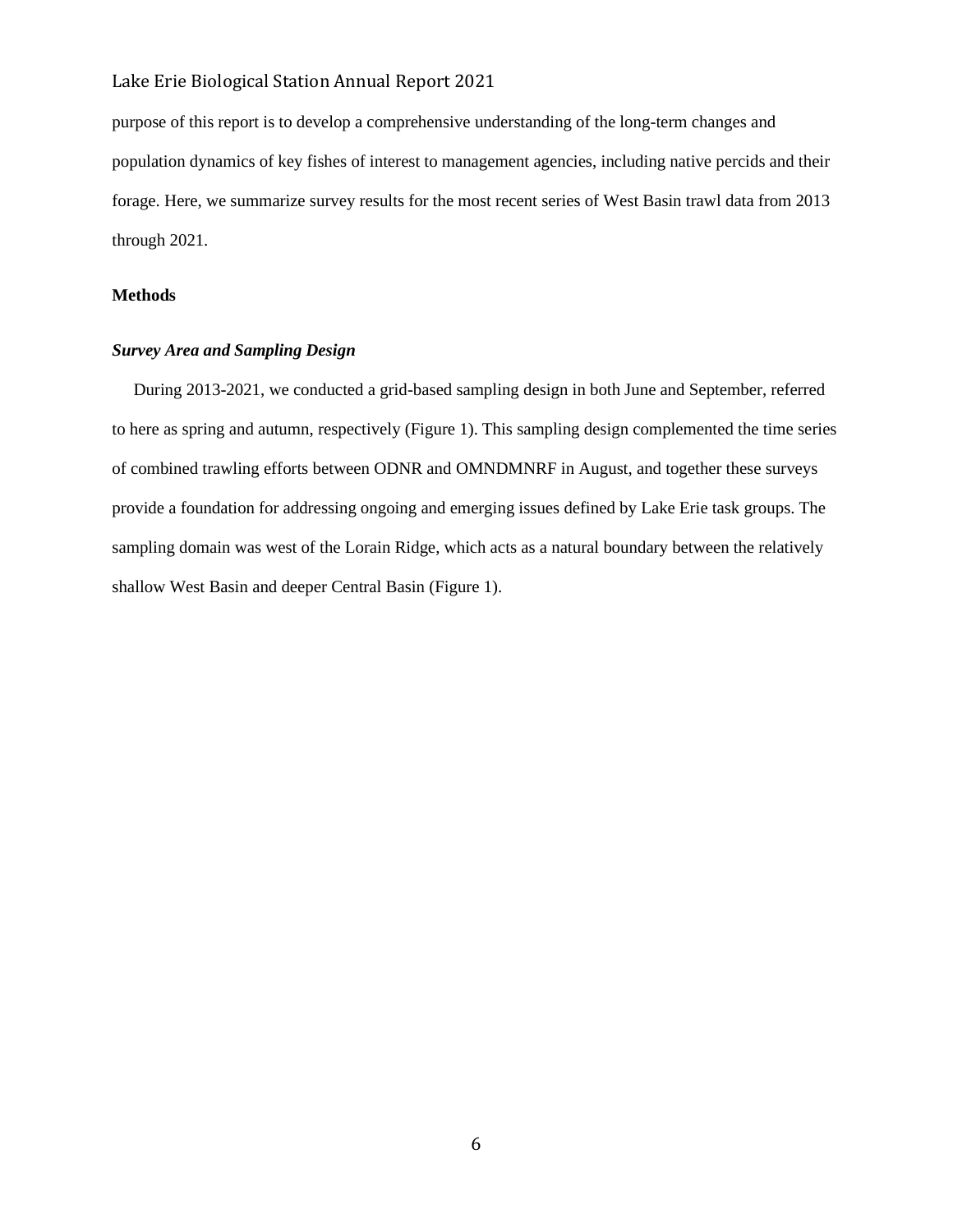purpose of this report is to develop a comprehensive understanding of the long-term changes and population dynamics of key fishes of interest to management agencies, including native percids and their forage. Here, we summarize survey results for the most recent series of West Basin trawl data from 2013 through 2021.

### **Methods**

#### *Survey Area and Sampling Design*

 During 2013-2021, we conducted a grid-based sampling design in both June and September, referred to here as spring and autumn, respectively (Figure 1). This sampling design complemented the time series of combined trawling efforts between ODNR and OMNDMNRF in August, and together these surveys provide a foundation for addressing ongoing and emerging issues defined by Lake Erie task groups. The sampling domain was west of the Lorain Ridge, which acts as a natural boundary between the relatively shallow West Basin and deeper Central Basin (Figure 1).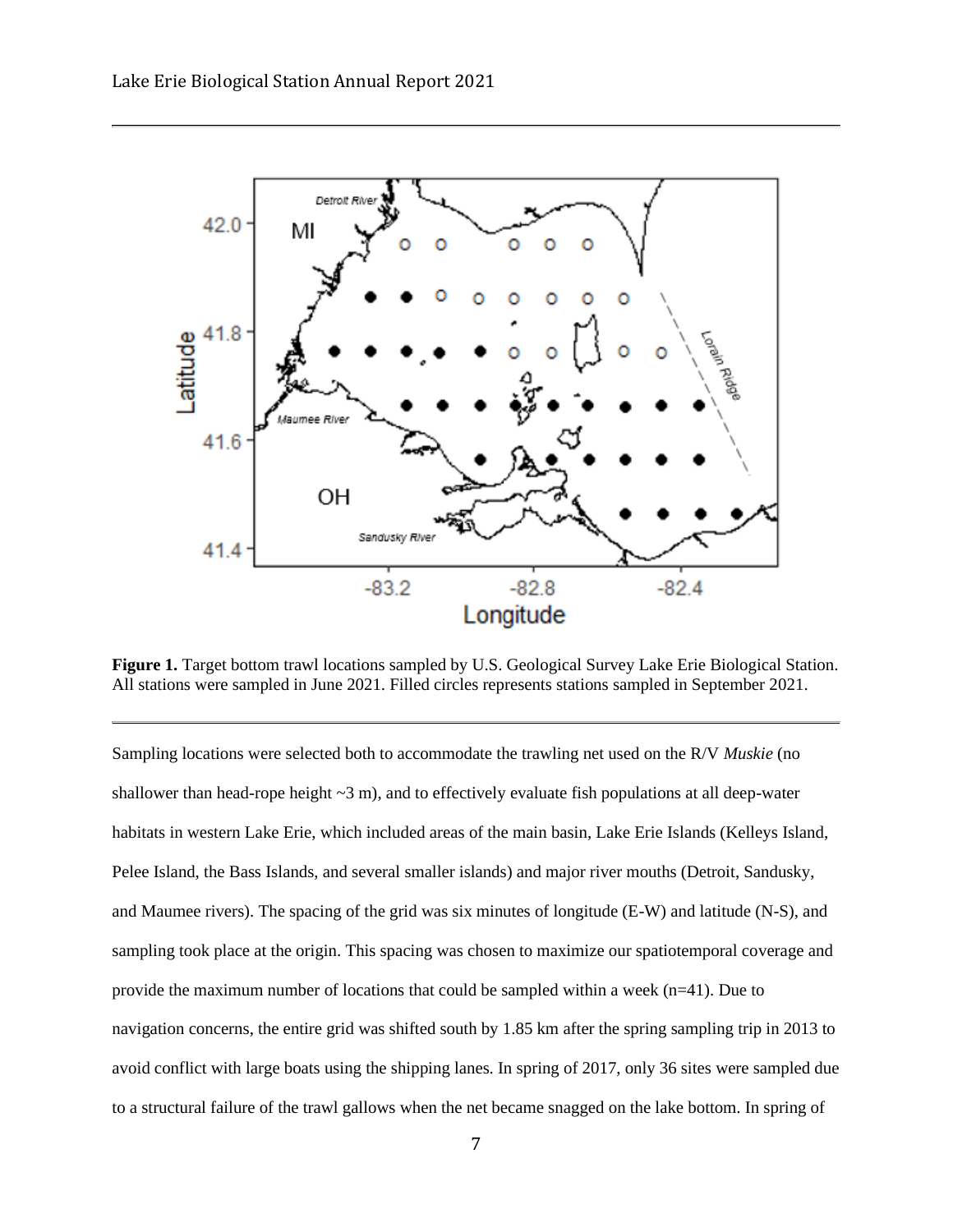

**Figure 1.** Target bottom trawl locations sampled by U.S. Geological Survey Lake Erie Biological Station. All stations were sampled in June 2021. Filled circles represents stations sampled in September 2021.

Sampling locations were selected both to accommodate the trawling net used on the R/V *Muskie* (no shallower than head-rope height  $\sim$ 3 m), and to effectively evaluate fish populations at all deep-water habitats in western Lake Erie, which included areas of the main basin, Lake Erie Islands (Kelleys Island, Pelee Island, the Bass Islands, and several smaller islands) and major river mouths (Detroit, Sandusky, and Maumee rivers). The spacing of the grid was six minutes of longitude (E-W) and latitude (N-S), and sampling took place at the origin. This spacing was chosen to maximize our spatiotemporal coverage and provide the maximum number of locations that could be sampled within a week  $(n=41)$ . Due to navigation concerns, the entire grid was shifted south by 1.85 km after the spring sampling trip in 2013 to avoid conflict with large boats using the shipping lanes. In spring of 2017, only 36 sites were sampled due to a structural failure of the trawl gallows when the net became snagged on the lake bottom. In spring of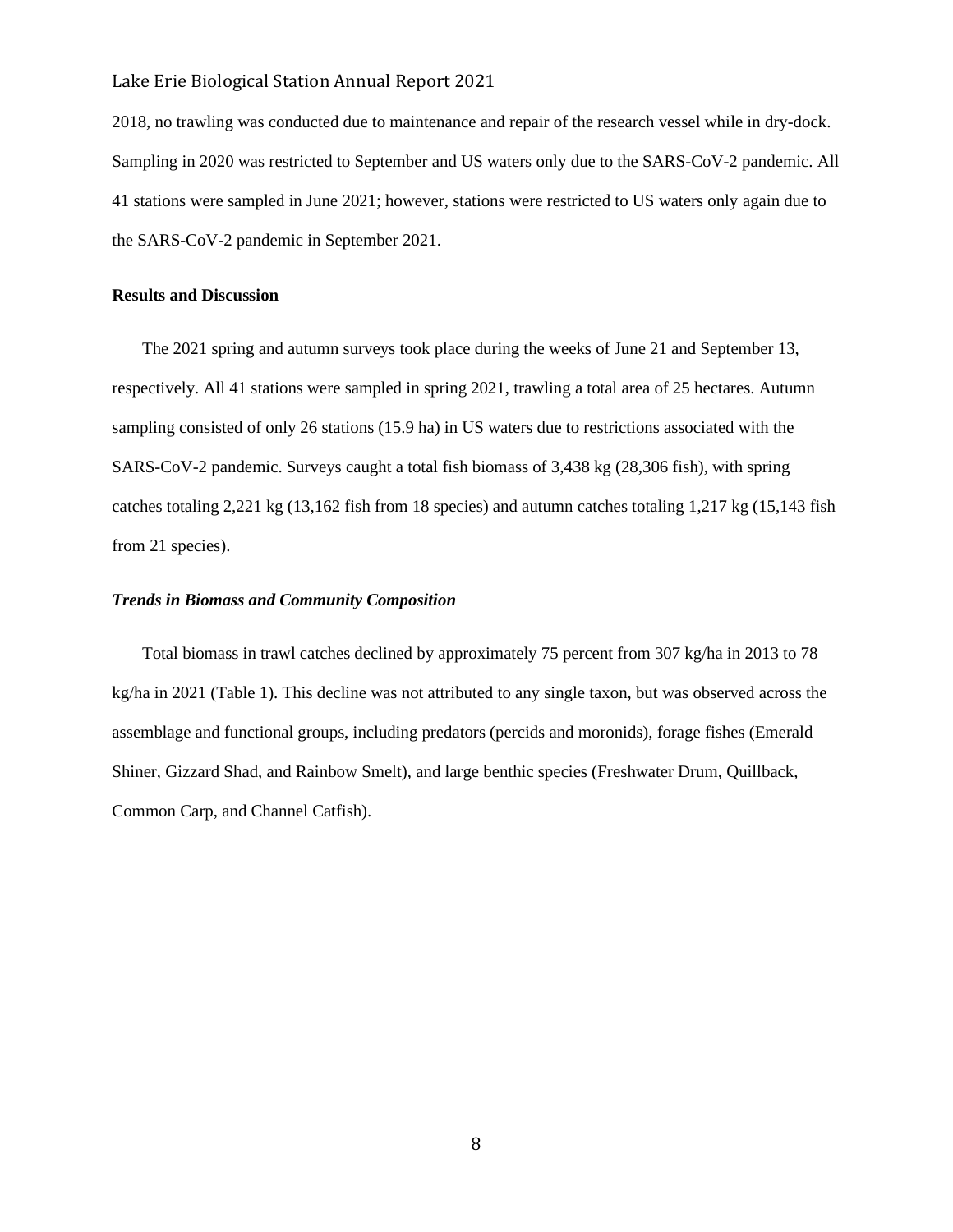2018, no trawling was conducted due to maintenance and repair of the research vessel while in dry-dock. Sampling in 2020 was restricted to September and US waters only due to the SARS-CoV-2 pandemic. All 41 stations were sampled in June 2021; however, stations were restricted to US waters only again due to the SARS-CoV-2 pandemic in September 2021.

#### **Results and Discussion**

 The 2021 spring and autumn surveys took place during the weeks of June 21 and September 13, respectively. All 41 stations were sampled in spring 2021, trawling a total area of 25 hectares. Autumn sampling consisted of only 26 stations (15.9 ha) in US waters due to restrictions associated with the SARS-CoV-2 pandemic. Surveys caught a total fish biomass of 3,438 kg (28,306 fish), with spring catches totaling 2,221 kg (13,162 fish from 18 species) and autumn catches totaling 1,217 kg (15,143 fish from 21 species).

#### *Trends in Biomass and Community Composition*

 Total biomass in trawl catches declined by approximately 75 percent from 307 kg/ha in 2013 to 78 kg/ha in 2021 (Table 1). This decline was not attributed to any single taxon, but was observed across the assemblage and functional groups, including predators (percids and moronids), forage fishes (Emerald Shiner, Gizzard Shad, and Rainbow Smelt), and large benthic species (Freshwater Drum, Quillback, Common Carp, and Channel Catfish).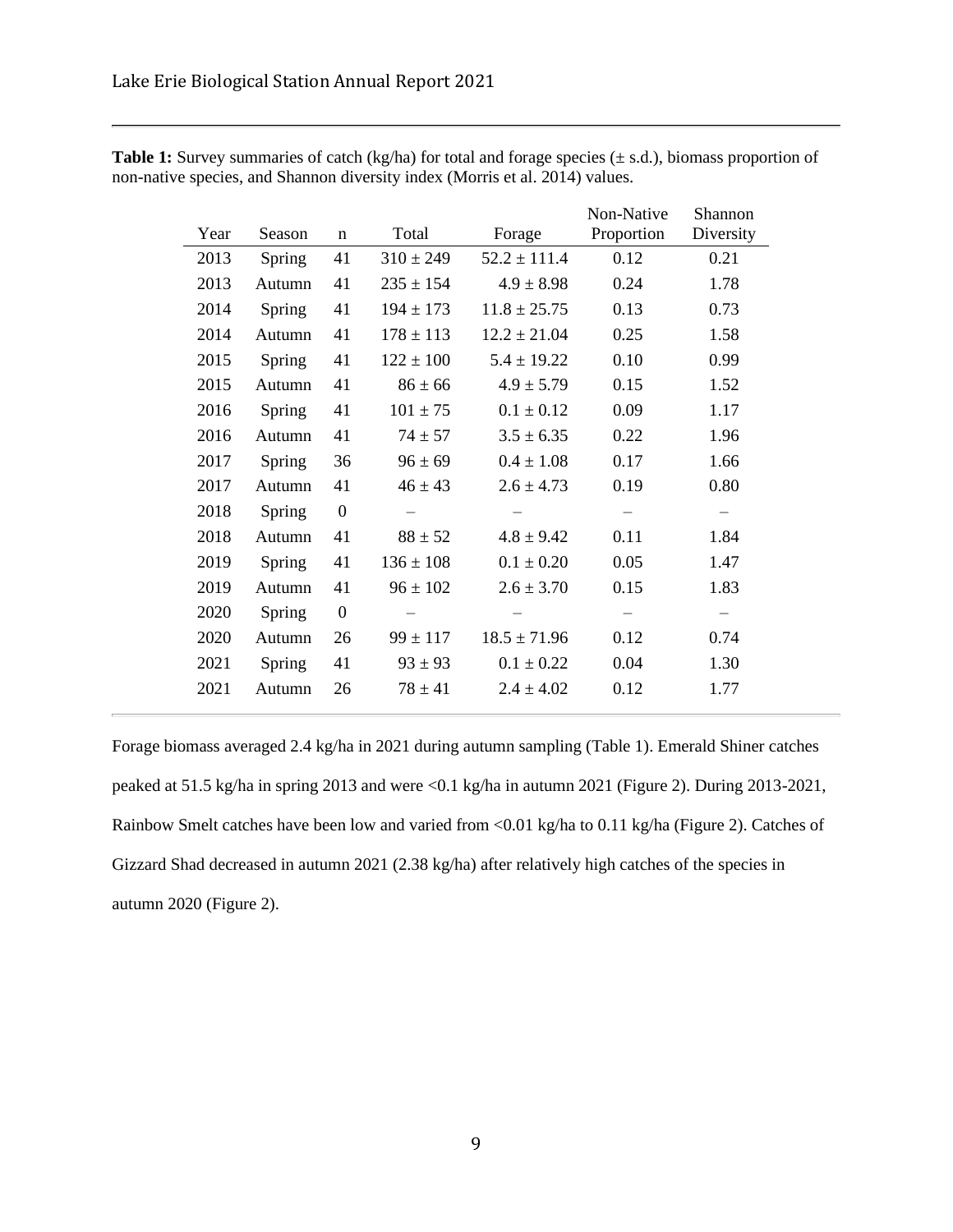| Year | Season | $\mathbf n$      | Total                    | Forage           | Non-Native<br>Proportion | Shannon<br>Diversity     |
|------|--------|------------------|--------------------------|------------------|--------------------------|--------------------------|
| 2013 | Spring | 41               | $310 \pm 249$            | $52.2 \pm 111.4$ | 0.12                     | 0.21                     |
| 2013 | Autumn | 41               | $235 \pm 154$            | $4.9 \pm 8.98$   | 0.24                     | 1.78                     |
| 2014 | Spring | 41               | $194 \pm 173$            | $11.8 \pm 25.75$ | 0.13                     | 0.73                     |
| 2014 | Autumn | 41               | $178 \pm 113$            | $12.2 \pm 21.04$ | 0.25                     | 1.58                     |
| 2015 | Spring | 41               | $122 \pm 100$            | $5.4 \pm 19.22$  | 0.10                     | 0.99                     |
| 2015 | Autumn | 41               | $86 \pm 66$              | $4.9 \pm 5.79$   | 0.15                     | 1.52                     |
| 2016 | Spring | 41               | $101 \pm 75$             | $0.1 \pm 0.12$   | 0.09                     | 1.17                     |
| 2016 | Autumn | 41               | $74 \pm 57$              | $3.5 \pm 6.35$   | 0.22                     | 1.96                     |
| 2017 | Spring | 36               | $96 \pm 69$              | $0.4 \pm 1.08$   | 0.17                     | 1.66                     |
| 2017 | Autumn | 41               | $46 \pm 43$              | $2.6 \pm 4.73$   | 0.19                     | 0.80                     |
| 2018 | Spring | $\boldsymbol{0}$ | $\overline{\phantom{0}}$ |                  |                          | $\overline{\phantom{0}}$ |
| 2018 | Autumn | 41               | $88 \pm 52$              | $4.8 \pm 9.42$   | 0.11                     | 1.84                     |
| 2019 | Spring | 41               | $136 \pm 108$            | $0.1 \pm 0.20$   | 0.05                     | 1.47                     |
| 2019 | Autumn | 41               | $96 \pm 102$             | $2.6 \pm 3.70$   | 0.15                     | 1.83                     |
| 2020 | Spring | $\mathbf{0}$     |                          |                  |                          |                          |
| 2020 | Autumn | 26               | $99 \pm 117$             | $18.5 \pm 71.96$ | 0.12                     | 0.74                     |
| 2021 | Spring | 41               | $93 \pm 93$              | $0.1 \pm 0.22$   | 0.04                     | 1.30                     |
| 2021 | Autumn | 26               | $78 \pm 41$              | $2.4 \pm 4.02$   | 0.12                     | 1.77                     |
|      |        |                  |                          |                  |                          |                          |

**Table 1:** Survey summaries of catch (kg/ha) for total and forage species ( $\pm$  s.d.), biomass proportion of non-native species, and Shannon diversity index (Morris et al. 2014) values.

Forage biomass averaged 2.4 kg/ha in 2021 during autumn sampling (Table 1). Emerald Shiner catches peaked at 51.5 kg/ha in spring 2013 and were <0.1 kg/ha in autumn 2021 (Figure 2). During 2013-2021, Rainbow Smelt catches have been low and varied from <0.01 kg/ha to 0.11 kg/ha (Figure 2). Catches of Gizzard Shad decreased in autumn 2021 (2.38 kg/ha) after relatively high catches of the species in autumn 2020 (Figure 2).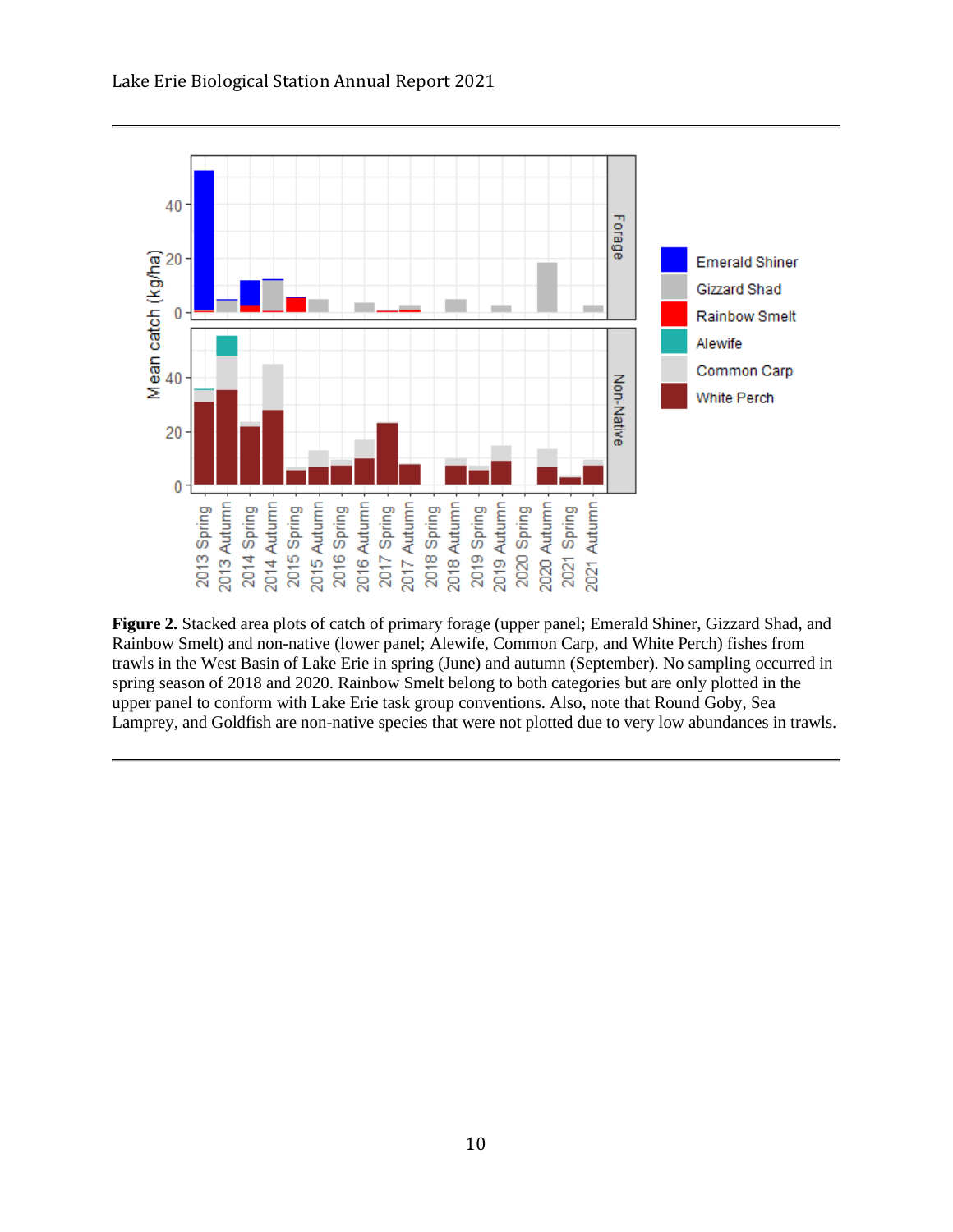

**Figure 2.** Stacked area plots of catch of primary forage (upper panel; Emerald Shiner, Gizzard Shad, and Rainbow Smelt) and non-native (lower panel; Alewife, Common Carp, and White Perch) fishes from trawls in the West Basin of Lake Erie in spring (June) and autumn (September). No sampling occurred in spring season of 2018 and 2020. Rainbow Smelt belong to both categories but are only plotted in the upper panel to conform with Lake Erie task group conventions. Also, note that Round Goby, Sea Lamprey, and Goldfish are non-native species that were not plotted due to very low abundances in trawls.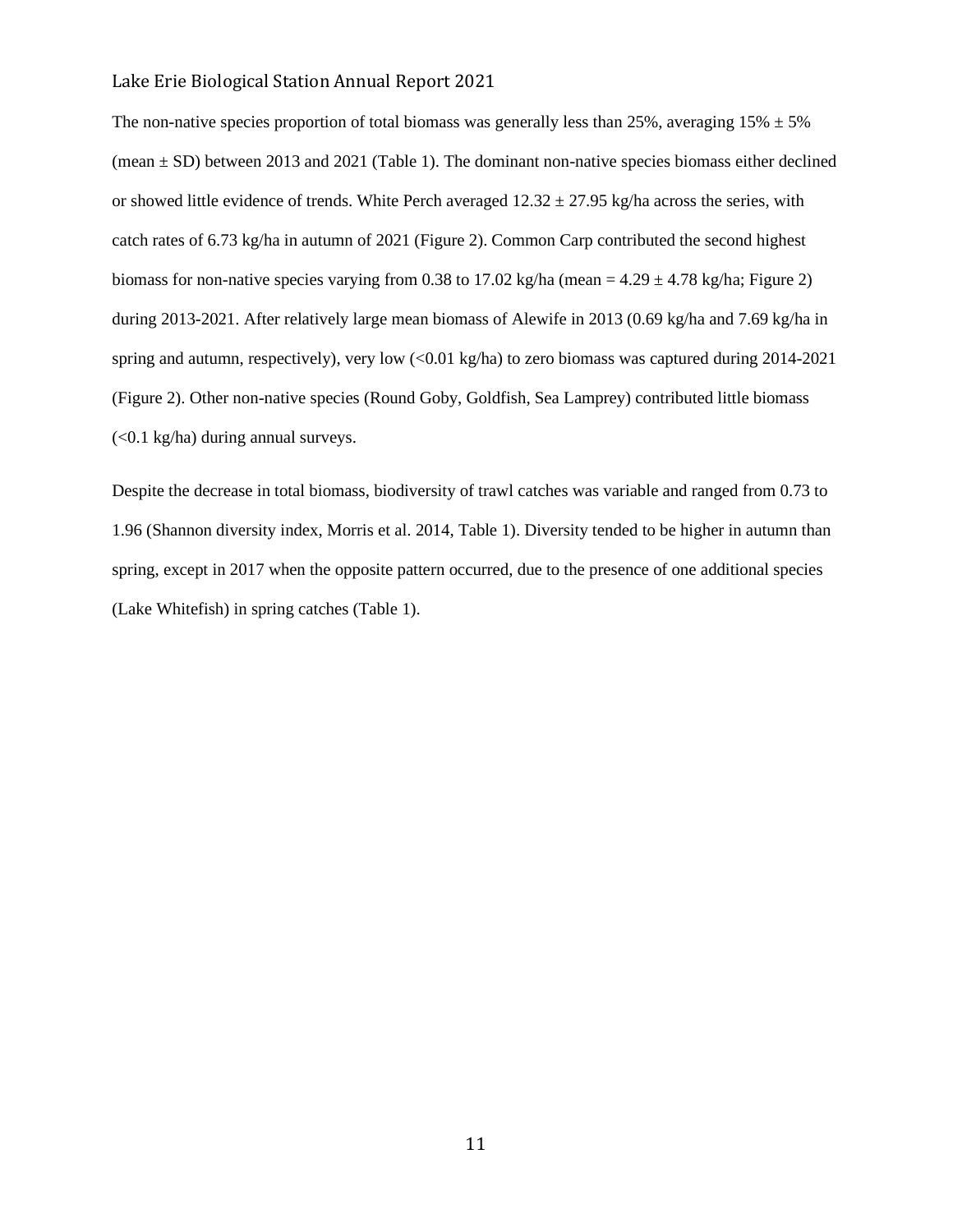The non-native species proportion of total biomass was generally less than 25%, averaging  $15\% \pm 5\%$ (mean  $\pm$  SD) between 2013 and 2021 (Table 1). The dominant non-native species biomass either declined or showed little evidence of trends. White Perch averaged  $12.32 \pm 27.95$  kg/ha across the series, with catch rates of 6.73 kg/ha in autumn of 2021 (Figure 2). Common Carp contributed the second highest biomass for non-native species varying from 0.38 to 17.02 kg/ha (mean =  $4.29 \pm 4.78$  kg/ha; Figure 2) during 2013-2021. After relatively large mean biomass of Alewife in 2013 (0.69 kg/ha and 7.69 kg/ha in spring and autumn, respectively), very low (<0.01 kg/ha) to zero biomass was captured during 2014-2021 (Figure 2). Other non-native species (Round Goby, Goldfish, Sea Lamprey) contributed little biomass (<0.1 kg/ha) during annual surveys.

Despite the decrease in total biomass, biodiversity of trawl catches was variable and ranged from 0.73 to 1.96 (Shannon diversity index, Morris et al. 2014, Table 1). Diversity tended to be higher in autumn than spring, except in 2017 when the opposite pattern occurred, due to the presence of one additional species (Lake Whitefish) in spring catches (Table 1).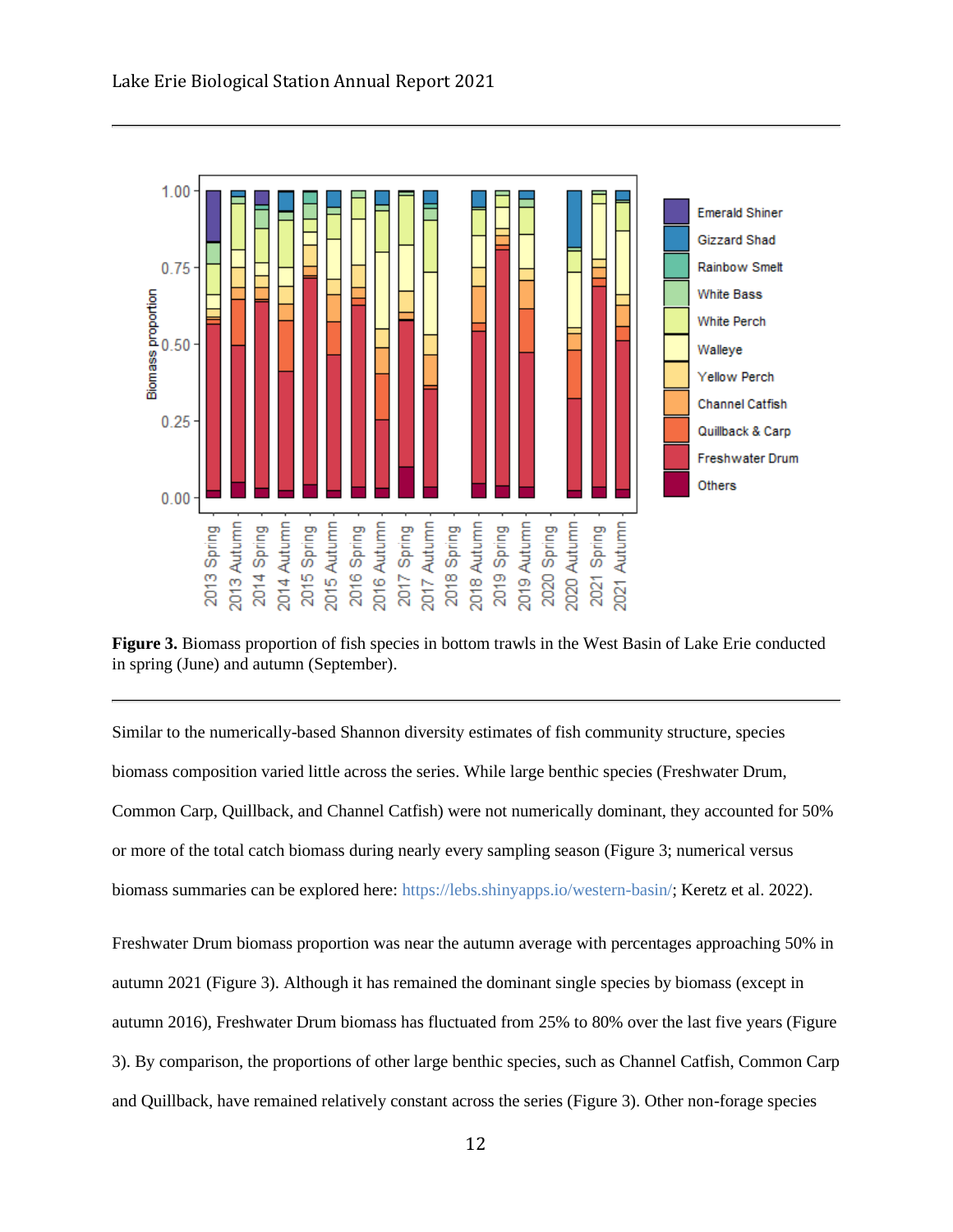

2013 Autumn

2014 Spring

2013 Spring

2015 Autumn

2015 Spring

2014 Autumn

2016 Autumn

2016 Spring

2017 Autumn

2017 Spring

**Figure 3.** Biomass proportion of fish species in bottom trawls in the West Basin of Lake Erie conducted in spring (June) and autumn (September).

2018 Autumn

2019 Spring

2018 Spring

2019 Autumn

2020 Spring

Spring 1021 Autumn

2021

2020 Autumn

Similar to the numerically-based Shannon diversity estimates of fish community structure, species biomass composition varied little across the series. While large benthic species (Freshwater Drum, Common Carp, Quillback, and Channel Catfish) were not numerically dominant, they accounted for 50% or more of the total catch biomass during nearly every sampling season (Figure 3; numerical versus biomass summaries can be explored here: [https://lebs.shinyapps.io/western-basin/;](https://lebs.shinyapps.io/western-basin/) Keretz et al. 2022). Freshwater Drum biomass proportion was near the autumn average with percentages approaching 50% in autumn 2021 (Figure 3). Although it has remained the dominant single species by biomass (except in

autumn 2016), Freshwater Drum biomass has fluctuated from 25% to 80% over the last five years (Figure 3). By comparison, the proportions of other large benthic species, such as Channel Catfish, Common Carp

and Quillback, have remained relatively constant across the series (Figure 3). Other non-forage species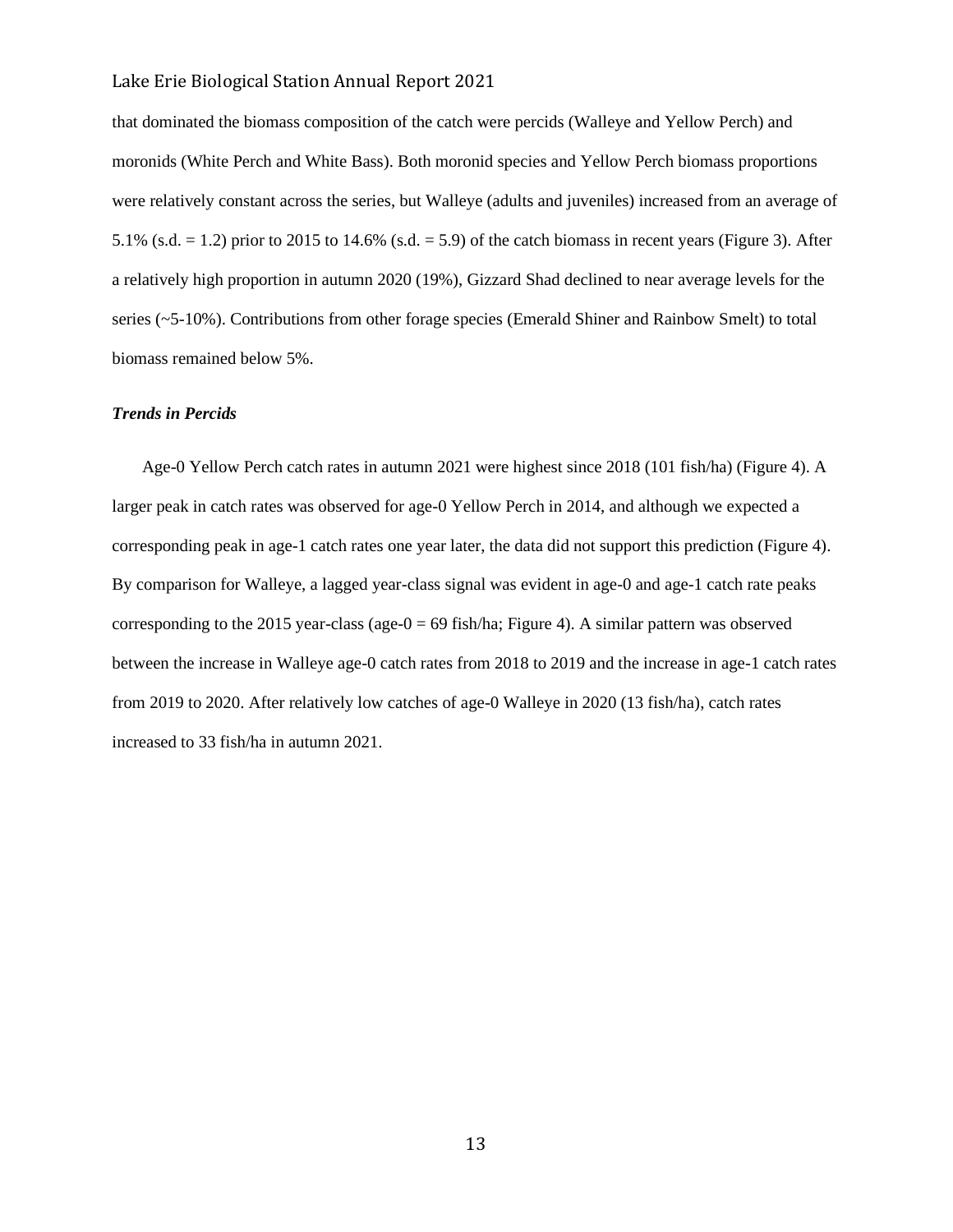that dominated the biomass composition of the catch were percids (Walleye and Yellow Perch) and moronids (White Perch and White Bass). Both moronid species and Yellow Perch biomass proportions were relatively constant across the series, but Walleye (adults and juveniles) increased from an average of 5.1% (s.d.  $= 1.2$ ) prior to 2015 to 14.6% (s.d.  $= 5.9$ ) of the catch biomass in recent years (Figure 3). After a relatively high proportion in autumn 2020 (19%), Gizzard Shad declined to near average levels for the series (~5-10%). Contributions from other forage species (Emerald Shiner and Rainbow Smelt) to total biomass remained below 5%.

#### *Trends in Percids*

 Age-0 Yellow Perch catch rates in autumn 2021 were highest since 2018 (101 fish/ha) (Figure 4). A larger peak in catch rates was observed for age-0 Yellow Perch in 2014, and although we expected a corresponding peak in age-1 catch rates one year later, the data did not support this prediction (Figure 4). By comparison for Walleye, a lagged year-class signal was evident in age-0 and age-1 catch rate peaks corresponding to the 2015 year-class (age- $0 = 69$  fish/ha; Figure 4). A similar pattern was observed between the increase in Walleye age-0 catch rates from 2018 to 2019 and the increase in age-1 catch rates from 2019 to 2020. After relatively low catches of age-0 Walleye in 2020 (13 fish/ha), catch rates increased to 33 fish/ha in autumn 2021.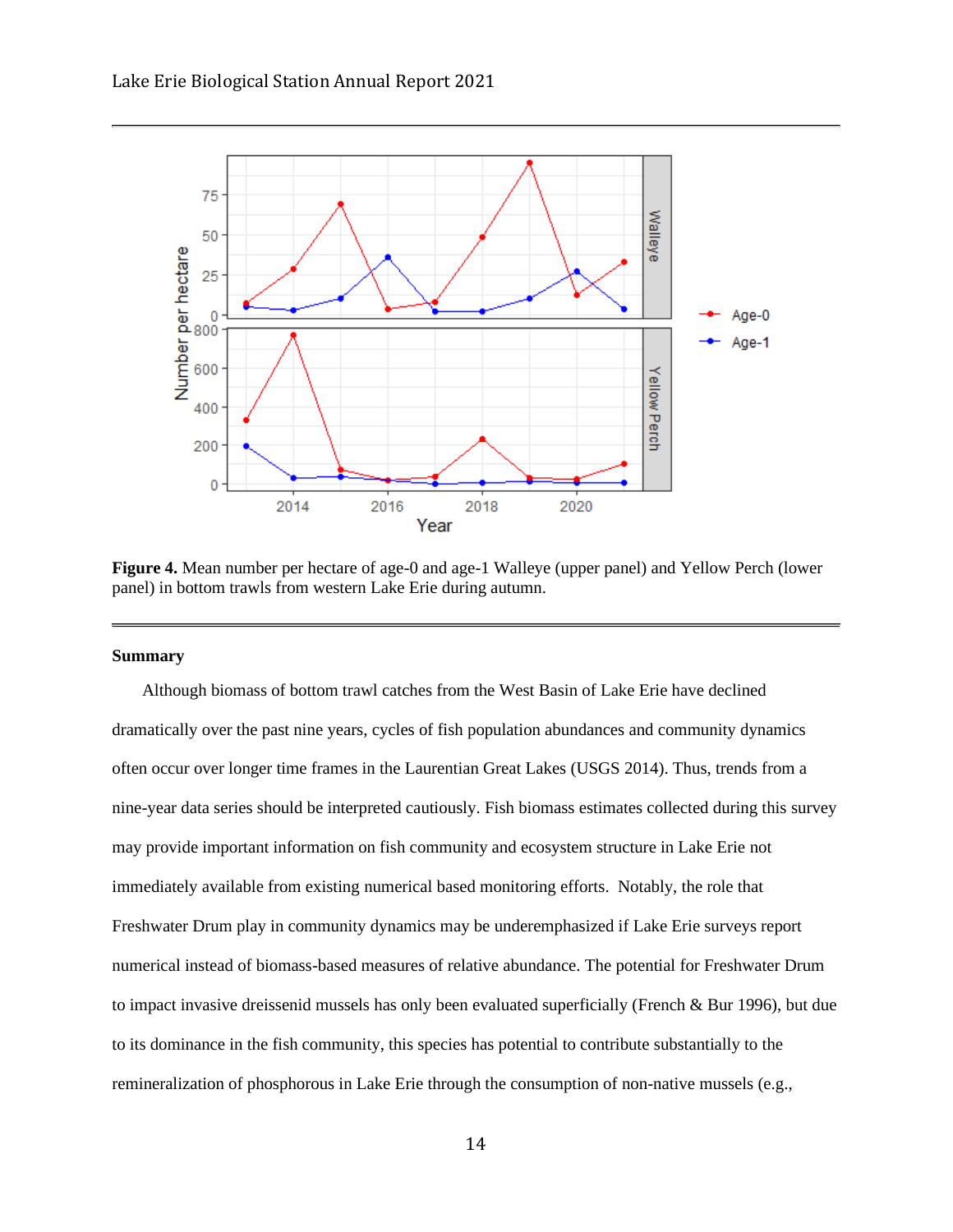

**Figure 4.** Mean number per hectare of age-0 and age-1 Walleye (upper panel) and Yellow Perch (lower panel) in bottom trawls from western Lake Erie during autumn.

#### **Summary**

 Although biomass of bottom trawl catches from the West Basin of Lake Erie have declined dramatically over the past nine years, cycles of fish population abundances and community dynamics often occur over longer time frames in the Laurentian Great Lakes (USGS 2014). Thus, trends from a nine-year data series should be interpreted cautiously. Fish biomass estimates collected during this survey may provide important information on fish community and ecosystem structure in Lake Erie not immediately available from existing numerical based monitoring efforts. Notably, the role that Freshwater Drum play in community dynamics may be underemphasized if Lake Erie surveys report numerical instead of biomass-based measures of relative abundance. The potential for Freshwater Drum to impact invasive dreissenid mussels has only been evaluated superficially (French & Bur 1996), but due to its dominance in the fish community, this species has potential to contribute substantially to the remineralization of phosphorous in Lake Erie through the consumption of non-native mussels (e.g.,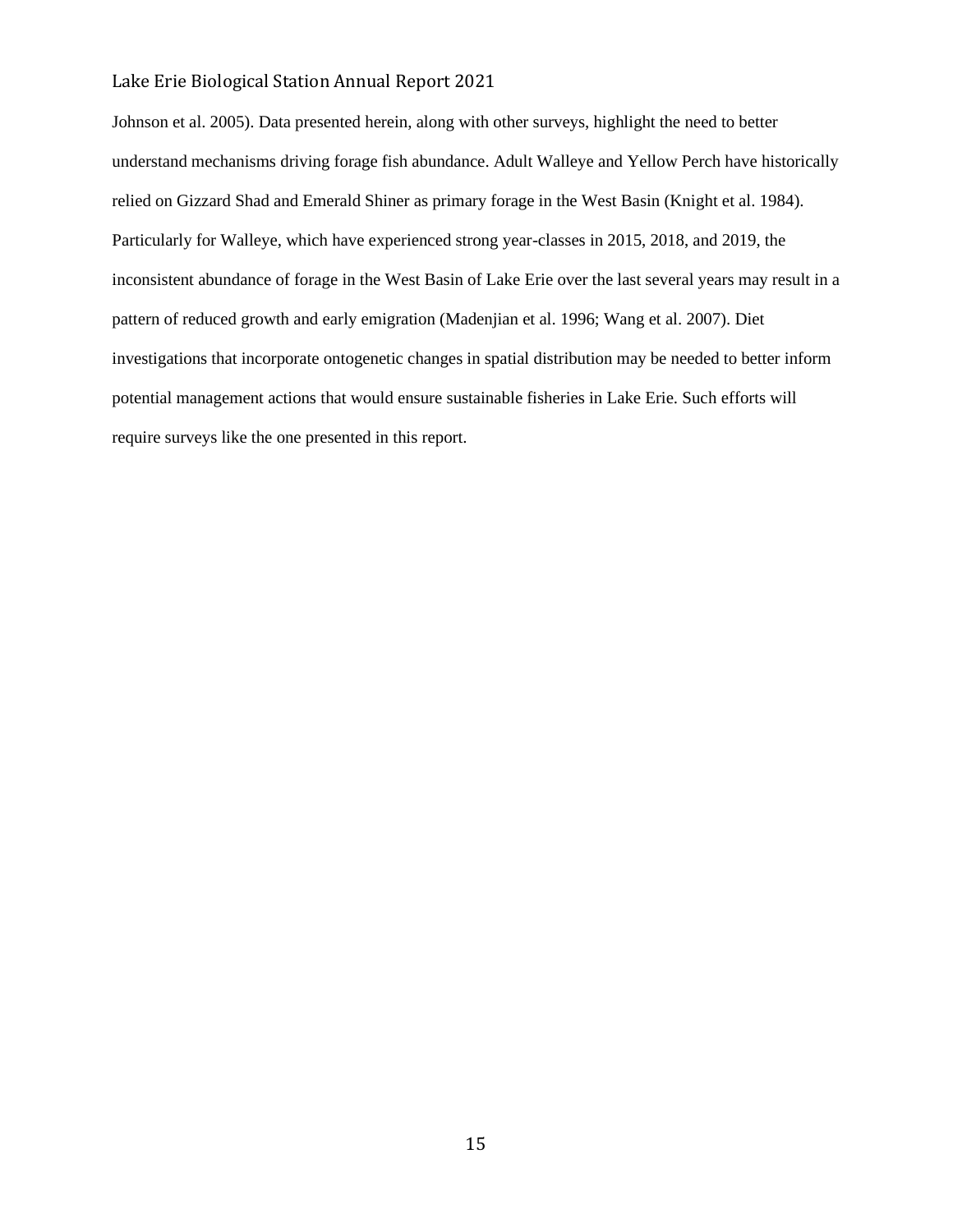Johnson et al. 2005). Data presented herein, along with other surveys, highlight the need to better understand mechanisms driving forage fish abundance. Adult Walleye and Yellow Perch have historically relied on Gizzard Shad and Emerald Shiner as primary forage in the West Basin (Knight et al. 1984). Particularly for Walleye, which have experienced strong year-classes in 2015, 2018, and 2019, the inconsistent abundance of forage in the West Basin of Lake Erie over the last several years may result in a pattern of reduced growth and early emigration (Madenjian et al. 1996; Wang et al. 2007). Diet investigations that incorporate ontogenetic changes in spatial distribution may be needed to better inform potential management actions that would ensure sustainable fisheries in Lake Erie. Such efforts will require surveys like the one presented in this report.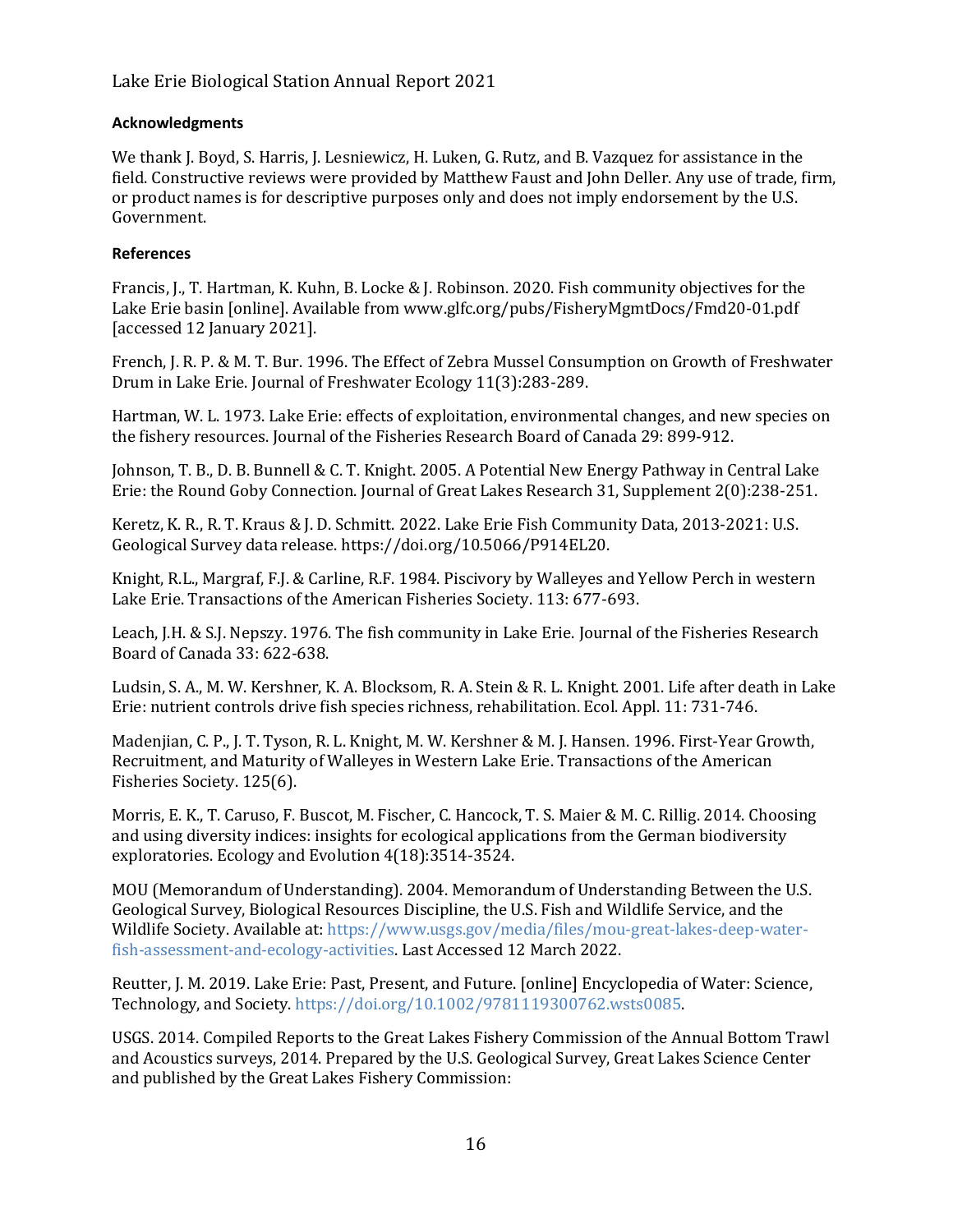## **Acknowledgments**

We thank J. Boyd, S. Harris, J. Lesniewicz, H. Luken, G. Rutz, and B. Vazquez for assistance in the field. Constructive reviews were provided by Matthew Faust and John Deller. Any use of trade, firm, or product names is for descriptive purposes only and does not imply endorsement by the U.S. Government.

## **References**

Francis, J., T. Hartman, K. Kuhn, B. Locke & J. Robinson. 2020. Fish community objectives for the Lake Erie basin [online]. Available from www.glfc.org/pubs/FisheryMgmtDocs/Fmd20-01.pdf [accessed 12 January 2021].

French, J. R. P. & M. T. Bur. 1996. The Effect of Zebra Mussel Consumption on Growth of Freshwater Drum in Lake Erie. Journal of Freshwater Ecology 11(3):283-289.

Hartman, W. L. 1973. Lake Erie: effects of exploitation, environmental changes, and new species on the fishery resources. Journal of the Fisheries Research Board of Canada 29: 899-912.

Johnson, T. B., D. B. Bunnell & C. T. Knight. 2005. A Potential New Energy Pathway in Central Lake Erie: the Round Goby Connection. Journal of Great Lakes Research 31, Supplement 2(0):238-251.

Keretz, K. R., R. T. Kraus & J. D. Schmitt. 2022. Lake Erie Fish Community Data, 2013-2021: U.S. Geological Survey data release. https://doi.org/10.5066/P914EL20.

Knight, R.L., Margraf, F.J. & Carline, R.F. 1984. Piscivory by Walleyes and Yellow Perch in western Lake Erie. Transactions of the American Fisheries Society. 113: 677-693.

Leach, J.H. & S.J. Nepszy. 1976. The fish community in Lake Erie. Journal of the Fisheries Research Board of Canada 33: 622-638.

Ludsin, S. A., M. W. Kershner, K. A. Blocksom, R. A. Stein & R. L. Knight. 2001. Life after death in Lake Erie: nutrient controls drive fish species richness, rehabilitation. Ecol. Appl. 11: 731-746.

Madenjian, C. P., J. T. Tyson, R. L. Knight, M. W. Kershner & M. J. Hansen. 1996. First-Year Growth, Recruitment, and Maturity of Walleyes in Western Lake Erie. Transactions of the American Fisheries Society. 125(6).

Morris, E. K., T. Caruso, F. Buscot, M. Fischer, C. Hancock, T. S. Maier & M. C. Rillig. 2014. Choosing and using diversity indices: insights for ecological applications from the German biodiversity exploratories. Ecology and Evolution 4(18):3514-3524.

MOU (Memorandum of Understanding). 2004. Memorandum of Understanding Between the U.S. Geological Survey, Biological Resources Discipline, the U.S. Fish and Wildlife Service, and the Wildlife Society. Available at[: https://www.usgs.gov/media/files/mou-great-lakes-deep-water](https://www.usgs.gov/media/files/mou-great-lakes-deep-water-fish-assessment-and-ecology-activities)[fish-assessment-and-ecology-activities.](https://www.usgs.gov/media/files/mou-great-lakes-deep-water-fish-assessment-and-ecology-activities) Last Accessed 12 March 2022.

Reutter, J. M. 2019. Lake Erie: Past, Present, and Future. [online] Encyclopedia of Water: Science, Technology, and Society. [https://doi.org/10.1002/9781119300762.wsts0085.](https://doi.org/10.1002/9781119300762.wsts0085)

USGS. 2014. Compiled Reports to the Great Lakes Fishery Commission of the Annual Bottom Trawl and Acoustics surveys, 2014. Prepared by the U.S. Geological Survey, Great Lakes Science Center and published by the Great Lakes Fishery Commission: